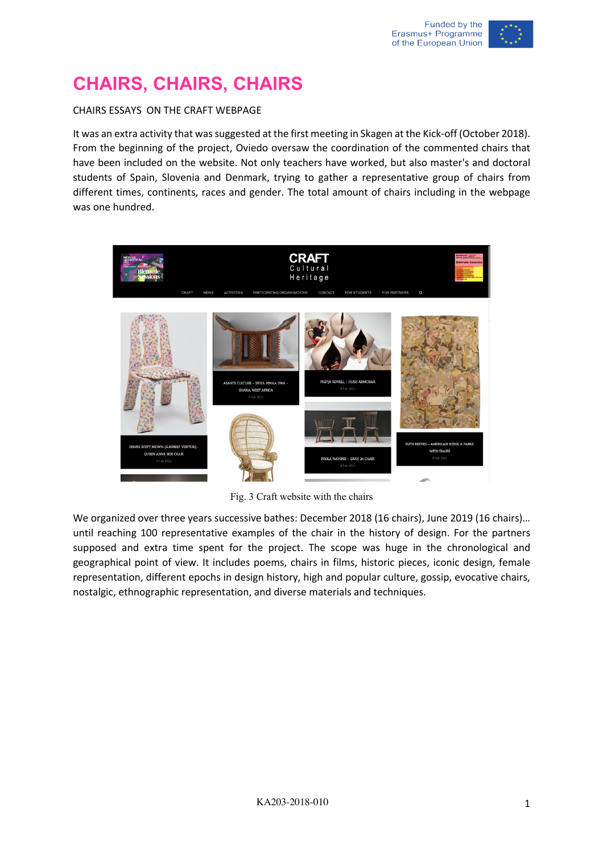## **CHAIRS, CHAIRS, CHAIRS**

## CHAIRS ESSAYS ON THE CRAFT WEBPAGE

It was an extra activity that was suggested at the first meeting in Skagen at the Kick-off (October 2018). From the beginning of the project, Oviedo oversaw the coordination of the commented chairs that have been included on the website. Not only teachers have worked, but also master's and doctoral students of Spain, Slovenia and Denmark, trying to gather a representative group of chairs from different times, continents, races and gender. The total amount of chairs including in the webpage was one hundred.



Fig. 3 Craft website with the chairs

We organized over three years successive bathes: December 2018 (16 chairs), June 2019 (16 chairs)... until reaching 100 representative examples of the chair in the history of design. For the partners supposed and extra time spent for the project. The scope was huge in the chronological and geographical point of view. It includes poems, chairs in films, historic pieces, iconic design, female representation, different epochs in design history, high and popular culture, gossip, evocative chairs, nostalgic, ethnographic representation, and diverse materials and techniques.